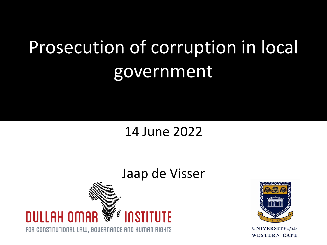# Prosecution of corruption in local government

#### 14 June 2022

#### Jaap de Visser





**UNIVERSITY** of the **WESTERN CAPE**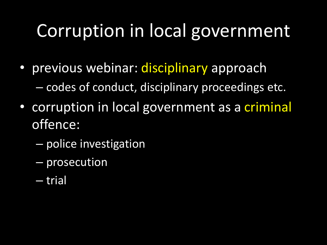## Corruption in local government

- previous webinar: *disciplinary* approach – codes of conduct, disciplinary proceedings etc.
- corruption in local government as a criminal offence:
	- police investigation
	- prosecution
	- trial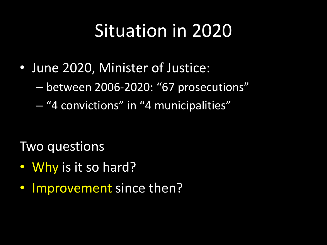## Situation in 2020

- June 2020, Minister of Justice:
	- between 2006-2020: "67 prosecutions"
	- "4 convictions" in "4 municipalities"

Two questions

- Why is it so hard?
- Improvement since then?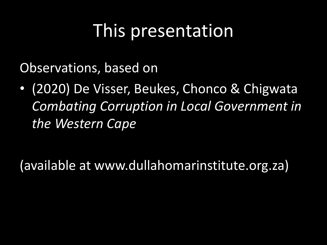### This presentation

Observations, based on

• (2020) De Visser, Beukes, Chonco & Chigwata *Combating Corruption in Local Government in the Western Cape*

(available at www.dullahomarinstitute.org.za)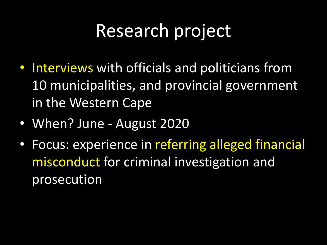## Research project

- Interviews with officials and politicians from 10 municipalities, and provincial government in the Western Cape
- When? June August 2020
- Focus: experience in referring alleged financial misconduct for criminal investigation and prosecution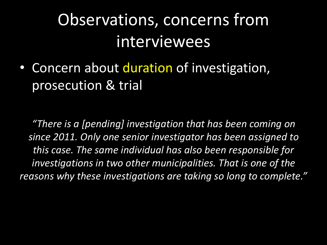#### Observations, concerns from interviewees

• Concern about duration of investigation, prosecution & trial

*"There is a [pending] investigation that has been coming on since 2011. Only one senior investigator has been assigned to this case. The same individual has also been responsible for investigations in two other municipalities. That is one of the reasons why these investigations are taking so long to complete."*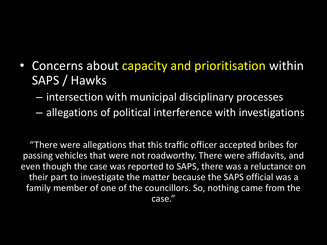- Concerns about capacity and prioritisation within SAPS / Hawks
	- intersection with municipal disciplinary processes
	- allegations of political interference with investigations

"There were allegations that this traffic officer accepted bribes for passing vehicles that were not roadworthy. There were affidavits, and even though the case was reported to SAPS, there was a reluctance on their part to investigate the matter because the SAPS official was a family member of one of the councillors. So, nothing came from the case."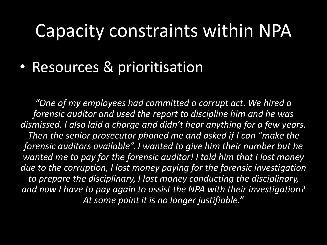#### Capacity constraints within NPA

• Resources & prioritisation

*"One of my employees had committed a corrupt act. We hired a forensic auditor and used the report to discipline him and he was dismissed. I also laid a charge and didn't hear anything for a few years. Then the senior prosecutor phoned me and asked if I can "make the forensic auditors available". I wanted to give him their number but he wanted me to pay for the forensic auditor! I told him that I lost money due to the corruption, I lost money paying for the forensic investigation to prepare the disciplinary, I lost money conducting the disciplinary, and now I have to pay again to assist the NPA with their investigation? At some point it is no longer justifiable."*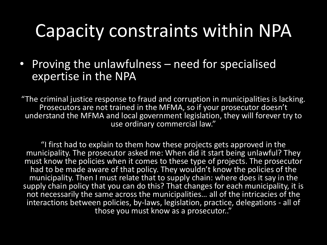#### Capacity constraints within NPA

• Proving the unlawfulness – need for specialised expertise in the NPA

"The criminal justice response to fraud and corruption in municipalities is lacking. Prosecutors are not trained in the MFMA, so if your prosecutor doesn't understand the MFMA and local government legislation, they will forever try to use ordinary commercial law."

"I first had to explain to them how these projects gets approved in the municipality. The prosecutor asked me: When did it start being unlawful? They must know the policies when it comes to these type of projects. The prosecutor had to be made aware of that policy. They wouldn't know the policies of the municipality. Then I must relate that to supply chain: where does it say in the supply chain policy that you can do this? That changes for each municipality, it is not necessarily the same across the municipalities… all of the intricacies of the interactions between policies, by-laws, legislation, practice, delegations - all of those you must know as a prosecutor.."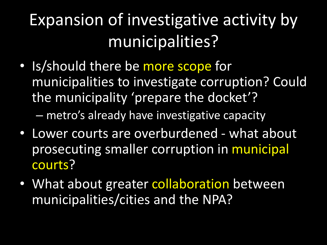## Expansion of investigative activity by municipalities?

- Is/should there be more scope for municipalities to investigate corruption? Could the municipality 'prepare the docket'? – metro's already have investigative capacity
- Lower courts are overburdened what about prosecuting smaller corruption in municipal courts?
- What about greater collaboration between municipalities/cities and the NPA?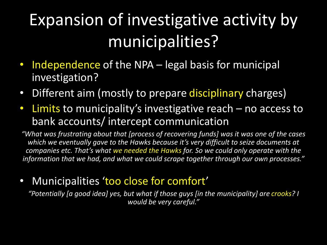## Expansion of investigative activity by municipalities?

- Independence of the NPA legal basis for municipal investigation?
- Different aim (mostly to prepare disciplinary charges)
- Limits to municipality's investigative reach no access to bank accounts/ intercept communication

*"What was frustrating about that [process of recovering funds] was it was one of the cases which we eventually gave to the Hawks because it's very difficult to seize documents at companies etc. That's what we needed the Hawks for. So we could only operate with the information that we had, and what we could scrape together through our own processes."*

• Municipalities 'too close for comfort'

"Potentially [a good idea] yes, but what if those guys [in the municipality] are crooks? I *would be very careful."*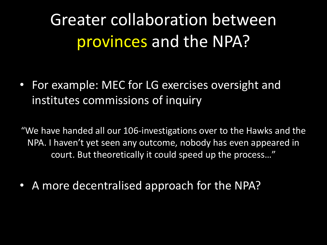Greater collaboration between provinces and the NPA?

• For example: MEC for LG exercises oversight and institutes commissions of inquiry

"We have handed all our 106-investigations over to the Hawks and the NPA. I haven't yet seen any outcome, nobody has even appeared in court. But theoretically it could speed up the process…"

• A more decentralised approach for the NPA?